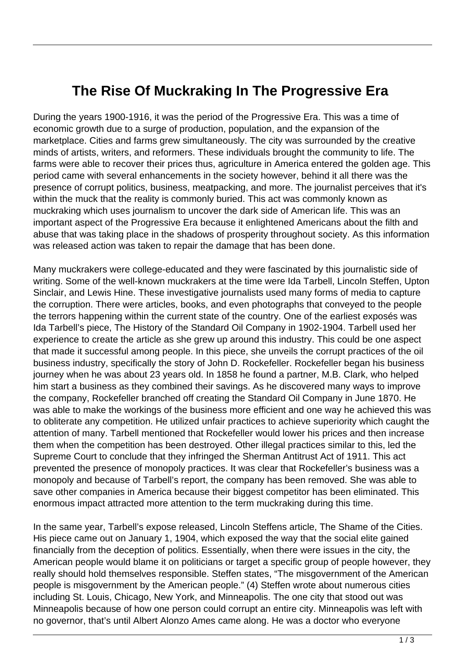## **The Rise Of Muckraking In The Progressive Era**

During the years 1900-1916, it was the period of the Progressive Era. This was a time of economic growth due to a surge of production, population, and the expansion of the marketplace. Cities and farms grew simultaneously. The city was surrounded by the creative minds of artists, writers, and reformers. These individuals brought the community to life. The farms were able to recover their prices thus, agriculture in America entered the golden age. This period came with several enhancements in the society however, behind it all there was the presence of corrupt politics, business, meatpacking, and more. The journalist perceives that it's within the muck that the reality is commonly buried. This act was commonly known as muckraking which uses journalism to uncover the dark side of American life. This was an important aspect of the Progressive Era because it enlightened Americans about the filth and abuse that was taking place in the shadows of prosperity throughout society. As this information was released action was taken to repair the damage that has been done.

Many muckrakers were college-educated and they were fascinated by this journalistic side of writing. Some of the well-known muckrakers at the time were Ida Tarbell, Lincoln Steffen, Upton Sinclair, and Lewis Hine. These investigative journalists used many forms of media to capture the corruption. There were articles, books, and even photographs that conveyed to the people the terrors happening within the current state of the country. One of the earliest exposés was Ida Tarbell's piece, The History of the Standard Oil Company in 1902-1904. Tarbell used her experience to create the article as she grew up around this industry. This could be one aspect that made it successful among people. In this piece, she unveils the corrupt practices of the oil business industry, specifically the story of John D. Rockefeller. Rockefeller began his business journey when he was about 23 years old. In 1858 he found a partner, M.B. Clark, who helped him start a business as they combined their savings. As he discovered many ways to improve the company, Rockefeller branched off creating the Standard Oil Company in June 1870. He was able to make the workings of the business more efficient and one way he achieved this was to obliterate any competition. He utilized unfair practices to achieve superiority which caught the attention of many. Tarbell mentioned that Rockefeller would lower his prices and then increase them when the competition has been destroyed. Other illegal practices similar to this, led the Supreme Court to conclude that they infringed the Sherman Antitrust Act of 1911. This act prevented the presence of monopoly practices. It was clear that Rockefeller's business was a monopoly and because of Tarbell's report, the company has been removed. She was able to save other companies in America because their biggest competitor has been eliminated. This enormous impact attracted more attention to the term muckraking during this time.

In the same year, Tarbell's expose released, Lincoln Steffens article, The Shame of the Cities. His piece came out on January 1, 1904, which exposed the way that the social elite gained financially from the deception of politics. Essentially, when there were issues in the city, the American people would blame it on politicians or target a specific group of people however, they really should hold themselves responsible. Steffen states, "The misgovernment of the American people is misgovernment by the American people." (4) Steffen wrote about numerous cities including St. Louis, Chicago, New York, and Minneapolis. The one city that stood out was Minneapolis because of how one person could corrupt an entire city. Minneapolis was left with no governor, that's until Albert Alonzo Ames came along. He was a doctor who everyone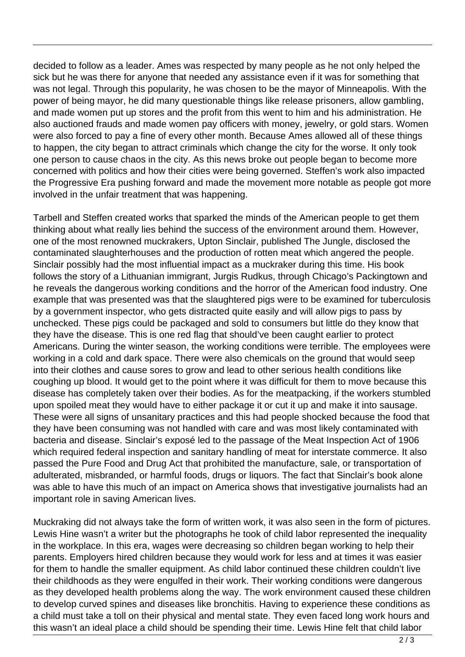decided to follow as a leader. Ames was respected by many people as he not only helped the sick but he was there for anyone that needed any assistance even if it was for something that was not legal. Through this popularity, he was chosen to be the mayor of Minneapolis. With the power of being mayor, he did many questionable things like release prisoners, allow gambling, and made women put up stores and the profit from this went to him and his administration. He also auctioned frauds and made women pay officers with money, jewelry, or gold stars. Women were also forced to pay a fine of every other month. Because Ames allowed all of these things to happen, the city began to attract criminals which change the city for the worse. It only took one person to cause chaos in the city. As this news broke out people began to become more concerned with politics and how their cities were being governed. Steffen's work also impacted the Progressive Era pushing forward and made the movement more notable as people got more involved in the unfair treatment that was happening.

Tarbell and Steffen created works that sparked the minds of the American people to get them thinking about what really lies behind the success of the environment around them. However, one of the most renowned muckrakers, Upton Sinclair, published The Jungle, disclosed the contaminated slaughterhouses and the production of rotten meat which angered the people. Sinclair possibly had the most influential impact as a muckraker during this time. His book follows the story of a Lithuanian immigrant, Jurgis Rudkus, through Chicago's Packingtown and he reveals the dangerous working conditions and the horror of the American food industry. One example that was presented was that the slaughtered pigs were to be examined for tuberculosis by a government inspector, who gets distracted quite easily and will allow pigs to pass by unchecked. These pigs could be packaged and sold to consumers but little do they know that they have the disease. This is one red flag that should've been caught earlier to protect Americans. During the winter season, the working conditions were terrible. The employees were working in a cold and dark space. There were also chemicals on the ground that would seep into their clothes and cause sores to grow and lead to other serious health conditions like coughing up blood. It would get to the point where it was difficult for them to move because this disease has completely taken over their bodies. As for the meatpacking, if the workers stumbled upon spoiled meat they would have to either package it or cut it up and make it into sausage. These were all signs of unsanitary practices and this had people shocked because the food that they have been consuming was not handled with care and was most likely contaminated with bacteria and disease. Sinclair's exposé led to the passage of the Meat Inspection Act of 1906 which required federal inspection and sanitary handling of meat for interstate commerce. It also passed the Pure Food and Drug Act that prohibited the manufacture, sale, or transportation of adulterated, misbranded, or harmful foods, drugs or liquors. The fact that Sinclair's book alone was able to have this much of an impact on America shows that investigative journalists had an important role in saving American lives.

Muckraking did not always take the form of written work, it was also seen in the form of pictures. Lewis Hine wasn't a writer but the photographs he took of child labor represented the inequality in the workplace. In this era, wages were decreasing so children began working to help their parents. Employers hired children because they would work for less and at times it was easier for them to handle the smaller equipment. As child labor continued these children couldn't live their childhoods as they were engulfed in their work. Their working conditions were dangerous as they developed health problems along the way. The work environment caused these children to develop curved spines and diseases like bronchitis. Having to experience these conditions as a child must take a toll on their physical and mental state. They even faced long work hours and this wasn't an ideal place a child should be spending their time. Lewis Hine felt that child labor